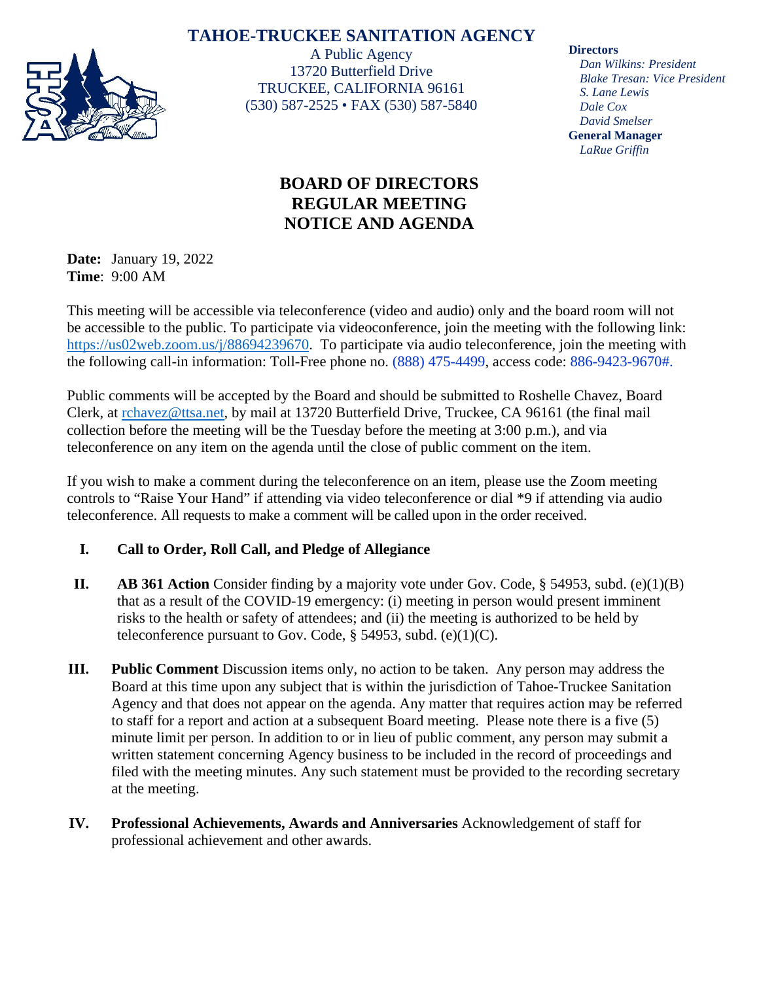## **TAHOE-TRUCKEE SANITATION AGENCY**



A Public Agency 13720 Butterfield Drive TRUCKEE, CALIFORNIA 96161 (530) 587-2525 • FAX (530) 587-5840

# **BOARD OF DIRECTORS REGULAR MEETING NOTICE AND AGENDA**

**Date:** January 19, 2022 **Time**: 9:00 AM

This meeting will be accessible via teleconference (video and audio) only and the board room will not be accessible to the public. To participate via videoconference, join the meeting with the following link: [https://us02web.zoom.us/j/88694239670.](https://us02web.zoom.us/j/88694239670) To participate via audio teleconference, join the meeting with the following call-in information: Toll-Free phone no. (888) 475-4499, access code: 886-9423-9670#.

Public comments will be accepted by the Board and should be submitted to Roshelle Chavez, Board Clerk, at [rchavez@ttsa.net,](mailto:rchavez@ttsa.net) by mail at 13720 Butterfield Drive, Truckee, CA 96161 (the final mail collection before the meeting will be the Tuesday before the meeting at 3:00 p.m.), and via teleconference on any item on the agenda until the close of public comment on the item.

If you wish to make a comment during the teleconference on an item, please use the Zoom meeting controls to "Raise Your Hand" if attending via video teleconference or dial \*9 if attending via audio teleconference. All requests to make a comment will be called upon in the order received.

## **I. Call to Order, Roll Call, and Pledge of Allegiance**

- **II. AB 361 Action** Consider finding by a majority vote under Gov. Code,  $\S$  54953, subd. (e)(1)(B) that as a result of the COVID-19 emergency: (i) meeting in person would present imminent risks to the health or safety of attendees; and (ii) the meeting is authorized to be held by teleconference pursuant to Gov. Code,  $\S$  54953, subd. (e)(1)(C).
- **III. Public Comment** Discussion items only, no action to be taken. Any person may address the Board at this time upon any subject that is within the jurisdiction of Tahoe-Truckee Sanitation Agency and that does not appear on the agenda. Any matter that requires action may be referred to staff for a report and action at a subsequent Board meeting. Please note there is a five (5) minute limit per person. In addition to or in lieu of public comment, any person may submit a written statement concerning Agency business to be included in the record of proceedings and filed with the meeting minutes. Any such statement must be provided to the recording secretary at the meeting.
- **IV. Professional Achievements, Awards and Anniversaries** Acknowledgement of staff for professional achievement and other awards.

**Directors**

*Dan Wilkins: President Blake Tresan: Vice President S. Lane Lewis Dale Cox David Smelser* **General Manager** *LaRue Griffin*